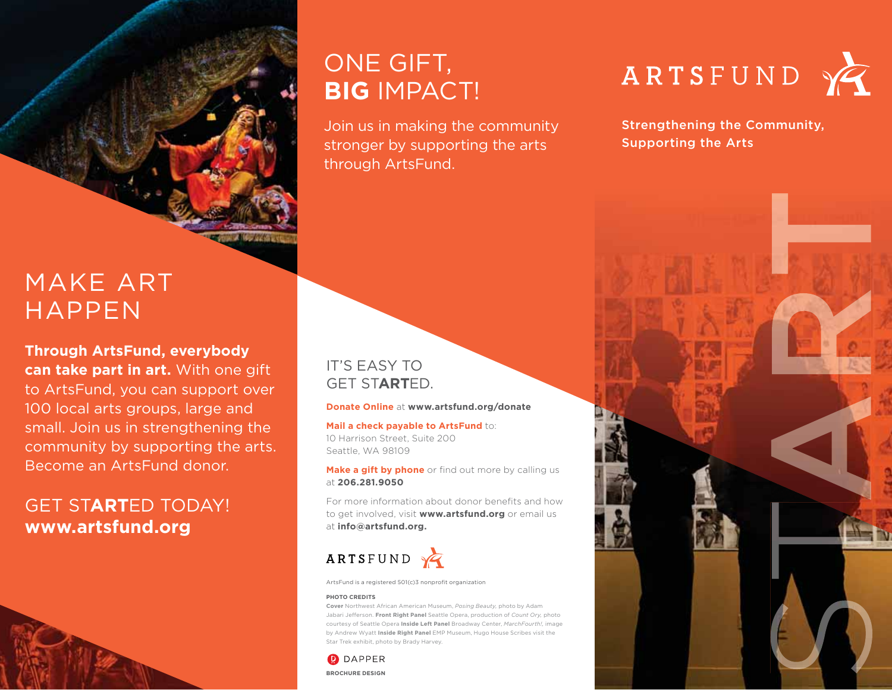# ONE GIFT, **BIG** IMPACT!

Join us in making the community stronger by supporting the arts through ArtsFund.

# ARTSFUND



Strengthening the Community, Supporting the Arts

# MAKE ART HAPPEN

**Through ArtsFund, everybody** 

**can take part in art.** With one gift to ArtsFund, you can support over 100 local arts groups, large and small. Join us in strengthening the community by supporting the arts. Become an ArtsFund donor.

## GET ST**ART**ED TODAY! **www.artsfund.org**



### IT'S EASY TO GET ST**ART**ED.

### **Donate Online** at **www.artsfund.org/donate**

**Mail a check payable to ArtsFund** to: 10 Harrison Street, Suite 200 Seattle, WA 98109

**Make a gift by phone** or find out more by calling us at **206.281.9050**

For more information about donor benefits and how to get involved, visit **www.artsfund.org** or email us at **info@artsfund.org.**



ArtsFund is a registered 501(c)3 nonprofit organization

### **PHOTO CREDITS**

**Cover** Northwest African American Museum, *Posing Beauty,* photo by Adam Jabari Jefferson. **Front Right Panel** Seattle Opera, production of *Count Ory,* photo courtesy of Seattle Opera **Inside Left Panel** Broadway Center, *MarchFourth!,* image by Andrew Wyatt **Inside Right Panel** EMP Museum, Hugo House Scribes visit the Star Trek exhibit, photo by Brady Harvey.

**D** DAPPER **BROCHURE DESIGN**